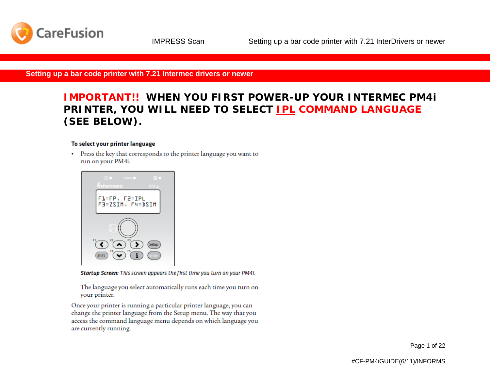

IMPRESS Scan Setting up a bar code printer with 7.21 InterDrivers or newer

**Setting up a bar code printer with 7.21 Intermec drivers or newer**

### **IMPORTANT!! WHEN YOU FIRST POWER-UP YOUR INTERMEC PM4i PRINTER, YOU WILL NEED TO SELECT IPL COMMAND LANGUAGE (SEE BELOW).**

#### To select your printer language

• Press the key that corresponds to the printer language you want to run on your PM4i.



Startup Screen: This screen appears the first time you turn on your PM4i.

The language you select automatically runs each time you turn on your printer.

Once your printer is running a particular printer language, you can change the printer language from the Setup menu. The way that you access the command language menu depends on which language you are currently running.

Page 1 of 22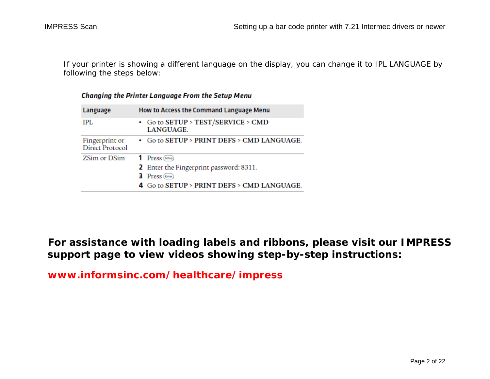If your printer is showing a different language on the display, you can change it to IPL LANGUAGE by following the steps below:

| Language                          | How to Access the Command Language Menu                                                                                      |  |  |
|-----------------------------------|------------------------------------------------------------------------------------------------------------------------------|--|--|
| <b>IPL</b>                        | • Go to SETUP > TEST/SERVICE > CMD<br><b>LANGUAGE.</b>                                                                       |  |  |
| Fingerprint or<br>Direct Protocol | • Go to SETUP > PRINT DEFS > CMD LANGUAGE.                                                                                   |  |  |
| ZSim or DSim                      | 1 Press (Setup)<br>2 Enter the Fingerprint password: 8311.<br>3 Press (Enter).<br>4 Go to SETUP > PRINT DEFS > CMD LANGUAGE. |  |  |

#### Changing the Printer Language From the Setup Menu

**For assistance with loading labels and ribbons, please visit our IMPRESS support page to view videos showing step-by-step instructions:**

**[www.informsinc.com/healthcare/impress](http://www.informsinc.com/healthcare/impress)**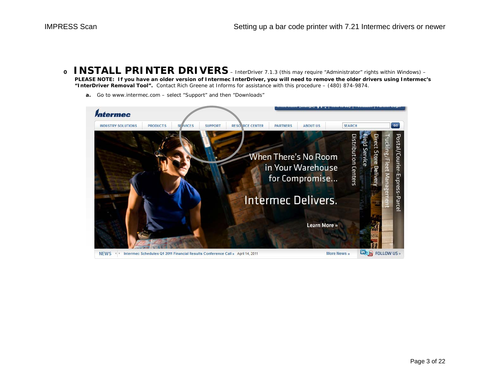- **0 INSTALL PRINTER DRIVERS** InterDriver 7.1.3 (this may require "Administrator" rights within Windows) *PLEASE NOTE: If you have an older version of Intermec InterDriver, you will need to remove the older drivers using Intermec's "InterDriver Removal Tool". Contact Rich Greene at Informs for assistance with this procedure – (480) 874-9874.*
	- **a.** Go to [www.intermec.com](http://www.intermec.com/) select "Support" and then "Downloads"

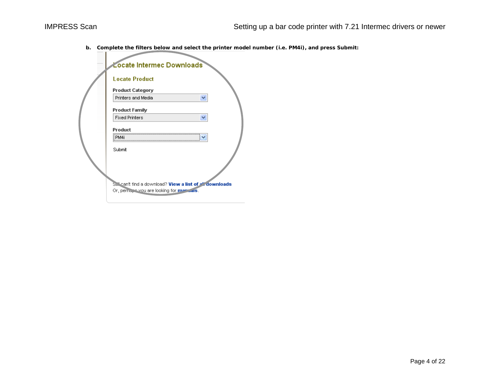**b. Complete the filters below and select the printer model number (i.e. PM4i), and press Submit:**

| <b>Locate Product</b>                                                                                 |
|-------------------------------------------------------------------------------------------------------|
| <b>Product Category</b>                                                                               |
| Printers and Media                                                                                    |
| <b>Product Family</b>                                                                                 |
| <b>Fixed Printers</b>                                                                                 |
| Product                                                                                               |
| PM4i                                                                                                  |
| Submit                                                                                                |
| Still can't find a download? View a list of all downloads<br>Or, perhaps you are looking for manuals. |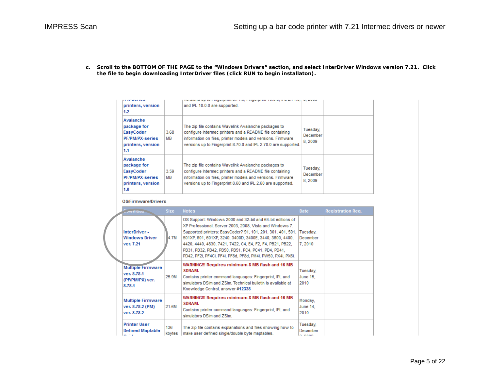**c. Scroll to the BOTTOM OF THE PAGE to the "Windows Drivers" section, and select InterDriver Windows version 7.21. Click the file to begin downloading InterDriver files (click RUN to begin installaton).** 

| <b><i>BEACHING</i></b><br>printers, version<br>1.2                                          |            | YORDRID Up to Fingurphin U.F.F.U. Fingurphin TU.U.U., II L.Z. F.U., FU. ZUUD<br>and IPL 10.0.0 are supported.                                                                                                                                      |                                 |  |
|---------------------------------------------------------------------------------------------|------------|----------------------------------------------------------------------------------------------------------------------------------------------------------------------------------------------------------------------------------------------------|---------------------------------|--|
| Avalanche<br>package for<br>EasyCoder<br><b>PF/PM/PX-series</b><br>printers, version<br>1.1 | 3.68<br>MВ | The zip file contains Wavelink Avalanche packages to<br>configure Intermec printers and a README file containing<br>information on files, printer models and versions. Firmware<br>versions up to Fingerprint 8.70.0 and IPL 2.70.0 are supported. | Tuesday.<br>December<br>8.2009  |  |
| Avalanche<br>package for<br>EasyCoder<br><b>PF/PM/PX-series</b><br>printers, version<br>1.0 | 3.59<br>мв | The zip file contains Wavelink Avalanche packages to<br>configure Intermec printers and a README file containing<br>information on files, printer models and versions. Firmware<br>versions up to Fingerprint 8.60 and IPL 2.60 are supported.     | Tuesday,<br>December<br>8, 2009 |  |

#### **OS/Firmware/Drivers**

| <b>JWIllOau</b>                                                      | Size:         | <b>Notes</b>                                                                                                                                                                                                                                                                                                                                                                                                                          | <b>Date</b>                    | <b>Registration Reg.</b> |
|----------------------------------------------------------------------|---------------|---------------------------------------------------------------------------------------------------------------------------------------------------------------------------------------------------------------------------------------------------------------------------------------------------------------------------------------------------------------------------------------------------------------------------------------|--------------------------------|--------------------------|
| InterDriver -<br><b>Windows Driver</b><br>ver. 7.21                  | <b>4.7M</b>   | OS Support: Windows 2000 and 32-bit and 64-bit editions of<br>XP Professional, Server 2003, 2008, Vista and Windows 7.<br>Supported printers: EasyCoder? 91, 101, 201, 301, 401, 501,<br>501XP, 601, 601XP, 3240, 3400D, 3400E, 3440, 3600, 4400,<br>4420, 4440, 4830, 7421, 7422, C4, E4, F2, F4, PB21, PB22,<br>PB31, PB32, PB42, PB50, PB51, PC4, PC41, PD4, PD41,<br>PD42, PF2i, PF4Ci, PF4i, PF8d, PF8d, PM4i, PW50, PX4i, PX6i. | Tuesdav.<br>December<br>7.2010 |                          |
| <b>Multiple Firmware</b><br>ver. 8.78.1<br>(PF/PM/PX) ver.<br>8.78.1 | 25.9M         | WARNING!!! Requires minimum 8 MB flash and 16 MB<br>SDRAM.<br>Contains printer command languages: Fingerprint, IPL and<br>simulators DSim and ZSim. Technical bulletin is available at<br>Knowledge Central, answer #12338                                                                                                                                                                                                            | Tuesday,<br>June 15.<br>2010   |                          |
| <b>Multiple Firmware</b><br>ver. 8.78.2 (PM)<br>ver. 8.78.2          | 21.6M         | WARNING!!! Requires minimum 8 MB flash and 16 MB<br>SDRAM.<br>Contains printer command languages: Fingerprint, IPL and<br>simulators DSim and ZSim.                                                                                                                                                                                                                                                                                   | Monday,<br>June 14.<br>2010    |                          |
| <b>Printer User</b><br><b>Defined Maptable</b><br>- - -              | 136<br>kbytes | The zip file contains explanations and files showing how to<br>make user defined single/double byte maptables.                                                                                                                                                                                                                                                                                                                        | Tuesday.<br>December<br>-----  |                          |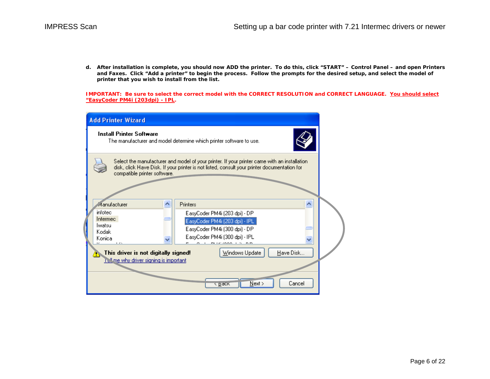**d. After installation is complete, you should now ADD the printer. To do this, click "START" – Control Panel – and open Printers and Faxes. Click "Add a printer" to begin the process. Follow the prompts for the desired setup, and select the model of printer that you wish to install from the list.** 

**IMPORTANT: Be sure to select the correct model with the CORRECT RESOLUTION and CORRECT LANGUAGE. You should select "EasyCoder PM4i (203dpi) - IPL.** 

| <b>Add Printer Wizard</b>                                                                                                                                                                                                    |                                                                                                                                                |  |  |  |
|------------------------------------------------------------------------------------------------------------------------------------------------------------------------------------------------------------------------------|------------------------------------------------------------------------------------------------------------------------------------------------|--|--|--|
| <b>Install Printer Software</b><br>The manufacturer and model determine which printer software to use.                                                                                                                       |                                                                                                                                                |  |  |  |
| Select the manufacturer and model of your printer. If your printer came with an installation<br>disk, click Have Disk. If your printer is not listed, consult your printer documentation for<br>compatible printer software. |                                                                                                                                                |  |  |  |
| Manufacturer                                                                                                                                                                                                                 | Printers<br>⌒                                                                                                                                  |  |  |  |
| infotec<br>Intermec<br>lwatsu<br>Kodak<br>Konica<br>$\cdots$                                                                                                                                                                 | EasyCoder PM4i (203 dpi) - DP<br>EasyCoder PM4i (203 dpi) - IPL<br>EasyCoder PM4i (300 dpi) - DP<br>EasyCoder PM4i (300 dpi) - IPL<br>er emmen |  |  |  |
| Have Disk<br>Windows Update<br>This driver is not digitally signed!<br>Tell me why driver signing is important                                                                                                               |                                                                                                                                                |  |  |  |
|                                                                                                                                                                                                                              | Next ><br>Cancel<br>к васк                                                                                                                     |  |  |  |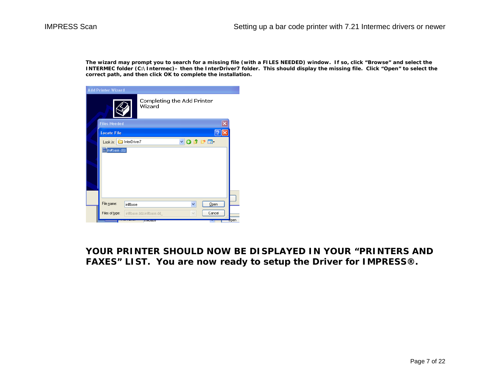**The wizard may prompt you to search for a missing file (with a FILES NEEDED) window. If so, click "Browse" and select the INTERMEC folder (C:\Intermec)– then the InterDriver7 folder. This should display the missing file. Click "Open" to select the correct path, and then click OK to complete the installation.** 

| Completing the Add Printer<br>Wizard<br><b>Files Needed</b><br><b>Locate File</b><br>$V$ <b>O</b> $\beta$ $P$ $\Box$<br>InterDriver7<br>Look in:<br>in#base.ddz |
|-----------------------------------------------------------------------------------------------------------------------------------------------------------------|
|                                                                                                                                                                 |
|                                                                                                                                                                 |
|                                                                                                                                                                 |
|                                                                                                                                                                 |
|                                                                                                                                                                 |
| File name:<br>Qpen<br>in#base<br>×                                                                                                                              |
| Cancel<br>Files of type:<br>in#base.ddz;in#base.dd<br>$\checkmark$<br><b>O</b> pen<br><b>IT HELD NO</b>                                                         |

**YOUR PRINTER SHOULD NOW BE DISPLAYED IN YOUR "PRINTERS AND FAXES" LIST. You are now ready to setup the Driver for IMPRESS®.**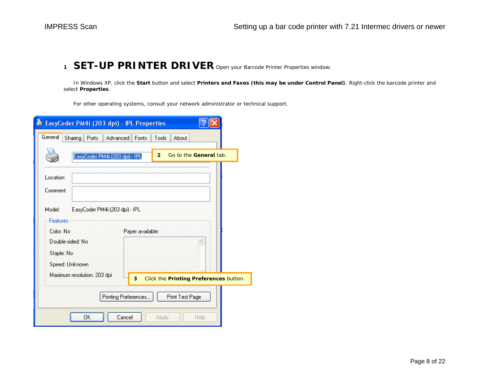### **<sup>1</sup> SET-UP PRINTER DRIVER** Open your Barcode Printer Properties window:

In Windows XP, click the **Start** button and select **Printers and Faxes (this may be under Control Panel)**. Right-click the barcode printer and select **Properties**.

For other operating systems, consult your network administrator or technical support.

| EasyCoder PM4i (203 dpi) - IPL Properties                                  |
|----------------------------------------------------------------------------|
| General<br>Sharing<br>Ports<br>Advanced<br>Fonts<br>Tools<br>About         |
| Go to the General tab.<br>$\overline{2}$<br>EasyCoder PM4i (203 dpi) - IPL |
| Location:                                                                  |
| Comment:                                                                   |
| Model:<br>EasyCoder PM4i (203 dpi) - IPL                                   |
| Features                                                                   |
| Color: No<br>Paper available:                                              |
| Double-sided: No                                                           |
| Staple: No                                                                 |
| Speed: Unknown                                                             |
| Maximum resolution: 203 dpi<br>3<br>Click the Printing Preferences button. |
| Printing Preferences<br>Print Test Page                                    |
| OK<br>Cancel<br>Apply<br>Help                                              |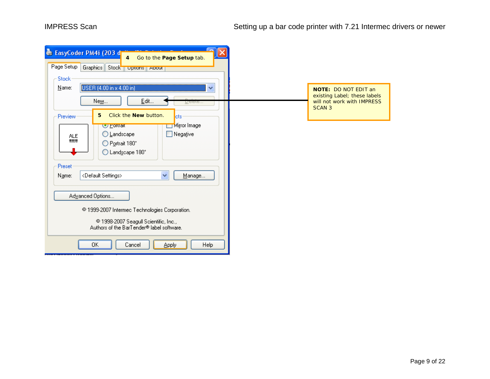| EasyCoder PM4i (203 d<br>Go to the Page Setup tab.<br>$\overline{4}$<br>Page Setup<br>Graphics Stock T Uptions T About                     |                                                                                                            |
|--------------------------------------------------------------------------------------------------------------------------------------------|------------------------------------------------------------------------------------------------------------|
| Stock                                                                                                                                      |                                                                                                            |
| USER (4.00 in x 4.00 in)<br>Name:<br>×<br>Edit<br>Ne <u>w</u><br>veiere…<br>Click the <b>New</b> button.<br>5<br>Preview<br>lets           | <b>NOTE: DO NOT EDIT an</b><br>existing Label; these labels<br>will not work with IMPRESS<br><b>SCAN 3</b> |
| Mirror Image<br><b>O Fortrait</b><br>◯ <u>L</u> andscape<br>Negative<br><b>ALE</b><br><b>WILLIU</b><br>◯ Portrait 180°<br>◯ Landscape 180° |                                                                                                            |
| Preset<br><default settings=""><br/>M<br/>Manage<br/>Name:</default>                                                                       |                                                                                                            |
| Advanced Options                                                                                                                           |                                                                                                            |
| © 1999-2007 Intermed Technologies Corporation.                                                                                             |                                                                                                            |
| @ 1998-2007 Seagull Scientific, Inc.,<br>Authors of the BarTender® label software.                                                         |                                                                                                            |
| OΚ<br>Help<br>Cancel<br>Apply                                                                                                              |                                                                                                            |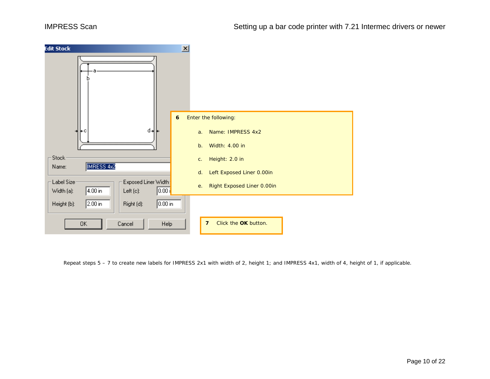

Repeat steps 5 – 7 to create new labels for IMPRESS 2x1 with width of 2, height 1; and IMPRESS 4x1, width of 4, height of 1, if applicable.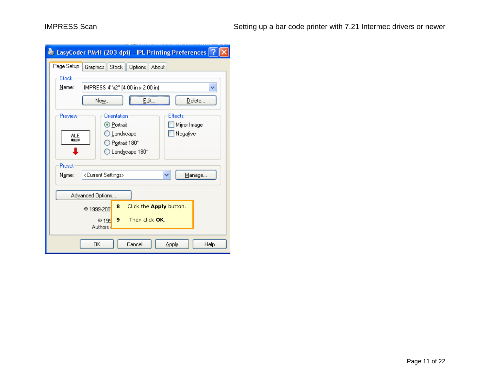| EasyCoder PM4i (203 dpi) - IPL Printing Preferences ?           |  |  |  |  |
|-----------------------------------------------------------------|--|--|--|--|
| Page Setup<br>Graphics<br>Stock<br>Options<br>About             |  |  |  |  |
| Stock                                                           |  |  |  |  |
| Name:<br>IMPRESS 4"x2" (4.00 in x 2.00 in)                      |  |  |  |  |
| <u>Edit…</u><br>Delete<br>Ne <u>w</u>                           |  |  |  |  |
| Preview<br>Orientation<br>Effects                               |  |  |  |  |
| ⊙ Portrait<br>Mirror Image                                      |  |  |  |  |
| ◯ <u>L</u> andscape<br>Negative<br><b>ALE</b><br><b>LILIULI</b> |  |  |  |  |
| ◯ Portrait 180°                                                 |  |  |  |  |
| Landscape 180°                                                  |  |  |  |  |
| Preset                                                          |  |  |  |  |
| <current settings=""><br/>Manage<br/>Name:</current>            |  |  |  |  |
|                                                                 |  |  |  |  |
| Advanced Options                                                |  |  |  |  |
| 8<br>Click the Apply button.<br><sup>◎</sup> 1999-200           |  |  |  |  |
| Then click OK.<br>@199<br>9                                     |  |  |  |  |
| Authors                                                         |  |  |  |  |
| OΚ<br>Cancel<br>Help<br><b>Apply</b>                            |  |  |  |  |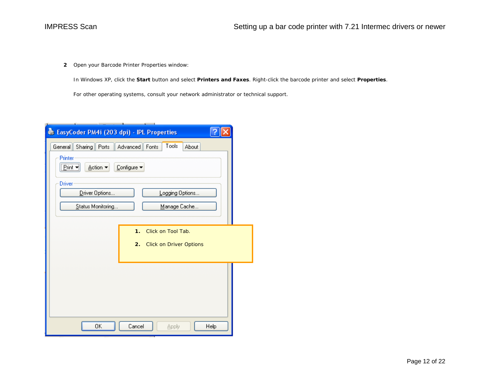**2** Open your Barcode Printer Properties window:

In Windows XP, click the **Start** button and select **Printers and Faxes**. Right-click the barcode printer and select **Properties**.

For other operating systems, consult your network administrator or technical support.

| EasyCoder PM4i (203 dpi) - IPL Properties                                 |
|---------------------------------------------------------------------------|
| Tools<br>Sharing<br>Ports<br>General<br><b>Advanced</b><br>Fonts<br>About |
| Printer<br>Print<br>Action ▼<br>$\sqrt{2}$ Configure                      |
|                                                                           |
| Driver<br>Driver Options<br>Logging Options                               |
| Status Monitoring<br>Manage Cache                                         |
|                                                                           |
| Click on Tool Tab.<br>$\mathbf 1$ .                                       |
| 2.<br><b>Click on Driver Options</b>                                      |
|                                                                           |
|                                                                           |
|                                                                           |
|                                                                           |
|                                                                           |
| ΟK<br>Cancel<br>Help<br>Apply                                             |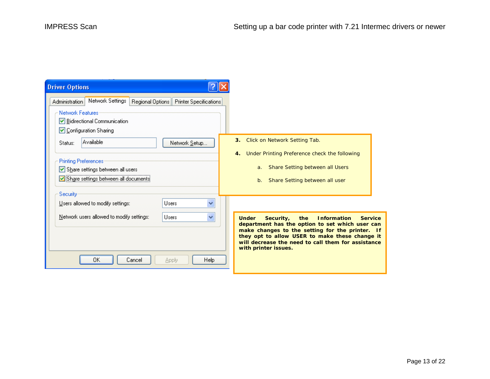| <b>Driver Options</b>                                                                                                                                                                                                                                                                                                                                                                                     |                                                                                                                                                                                                                                                                                                                |
|-----------------------------------------------------------------------------------------------------------------------------------------------------------------------------------------------------------------------------------------------------------------------------------------------------------------------------------------------------------------------------------------------------------|----------------------------------------------------------------------------------------------------------------------------------------------------------------------------------------------------------------------------------------------------------------------------------------------------------------|
| Network Settings<br>Administration<br>Regional Options<br><b>Printer Specifications</b><br><b>Network Features</b><br>◘ Bidirectional Communication<br>◘ Configuration Sharing<br>Available<br>Network Setup<br>Status:<br><b>Printing Preferences</b><br>Share settings between all users<br>Share settings between all documents<br>Security<br>v<br>Users allowed to modify settings:<br><b>Lisers</b> | 3. Click on Network Setting Tab.<br>Under Printing Preference check the following<br>4.<br>Share Setting between all Users<br>a.<br>Share Setting between all user<br>b <sub>1</sub>                                                                                                                           |
| Network users allowed to modify settings:<br>Users<br>v<br>0K<br>Cancel<br>Help<br>Apply                                                                                                                                                                                                                                                                                                                  | <b>Under</b><br>Security,<br>the<br><b>Information</b><br><b>Service</b><br>department has the option to set which user can<br>make changes to the setting for the printer. If<br>they opt to allow USER to make these change it<br>will decrease the need to call them for assistance<br>with printer issues. |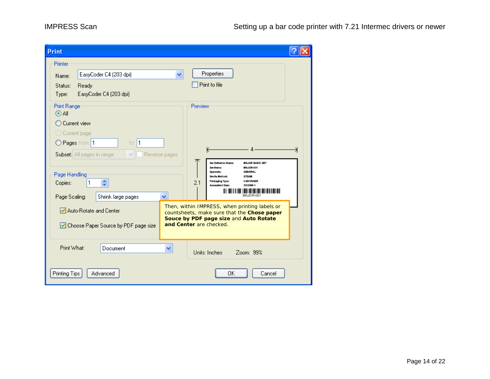| <b>Print</b>                                                                                                                                                                                                     |                                                                                                                                                                                                                                                                                                                              |  |
|------------------------------------------------------------------------------------------------------------------------------------------------------------------------------------------------------------------|------------------------------------------------------------------------------------------------------------------------------------------------------------------------------------------------------------------------------------------------------------------------------------------------------------------------------|--|
| Printer<br>EasyCoder C4 (203 dpi)<br>Name:<br>Status:<br>Ready<br>EasyCoder C4 (203 dpi)<br>Type:                                                                                                                | Properties<br>٧<br>Print to file                                                                                                                                                                                                                                                                                             |  |
| <b>Print Range</b><br>$\odot$ All<br>Current view<br>Current page<br>Pages from: 1<br>11<br>to:<br>Subset: All pages in range<br>×.<br>Page Handling<br>٥<br>1<br>Copies:<br>Page Scaling:<br>Shrink large pages | Preview<br>к<br>Reverse pages<br>et Definition Name:<br>MAJOR BASIC SET<br>Set Name:<br><b>MAJOR-001</b><br>Specialty:<br><b>GENERAL</b><br>Starije Method:<br><b>STEAM</b><br><b>Packaging Type:</b><br><b>CONTAINER</b><br>2.1<br><b>Assembled Date:</b><br>MAJOR-00<br>v<br>Then, within IMPRESS, when printing labels or |  |
| Auto-Rotate and Center<br>Choose Paper Source by PDF page size<br>Print What:<br>Document<br><b>Printing Tips</b><br>Advanced                                                                                    | countsheets, make sure that the Chose paper<br>Souce by PDF page size and Auto Rotate<br>and Center are checked.<br>٧<br>Units: Inches<br>Zoom: 99%<br>OK<br>Cancel                                                                                                                                                          |  |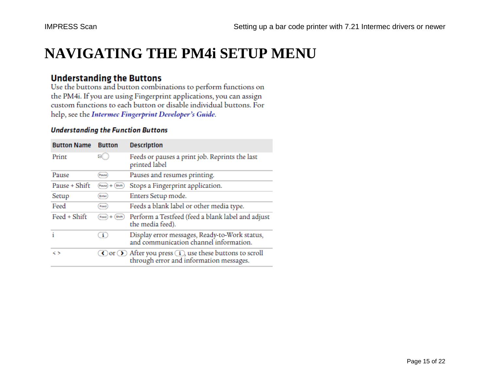### **NAVIGATING THE PM4i SETUP MENU**

**Understanding the Buttons**<br>Use the buttons and button combinations to perform functions on the PM4i. If you are using Fingerprint applications, you can assign custom functions to each button or disable individual buttons. For help, see the Intermec Fingerprint Developer's Guide.

#### **Understanding the Function Buttons**

| <b>Button Name</b> | <b>Button</b>        | <b>Description</b>                                                                                                           |
|--------------------|----------------------|------------------------------------------------------------------------------------------------------------------------------|
| Print              |                      | Feeds or pauses a print job. Reprints the last<br>printed label                                                              |
| Pause              | Pause                | Pauses and resumes printing.                                                                                                 |
| Pause + Shift      | Shift<br>Pause)      | Stops a Fingerprint application.                                                                                             |
| Setup              | Enter                | Enters Setup mode.                                                                                                           |
| Feed               | Feed                 | Feeds a blank label or other media type.                                                                                     |
| Feed + Shift       | $Food) +$<br>(Shift) | Perform a Testfeed (feed a blank label and adjust<br>the media feed).                                                        |
|                    | $\mathbf{i}$         | Display error messages, Ready-to-Work status,<br>and communication channel information.                                      |
| $\leq$ $>$         |                      | $\bigcirc$ or $\bigcirc$ After you press $\bigcirc$ , use these buttons to scroll<br>through error and information messages. |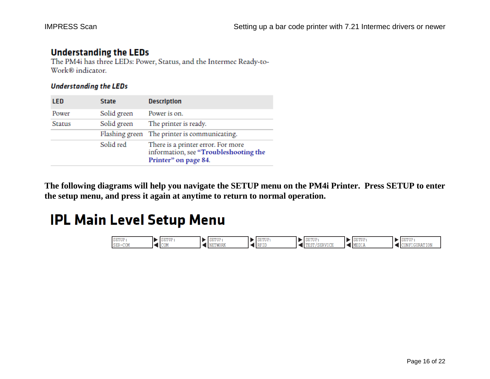#### **Understanding the LEDs**

The PM4i has three LEDs: Power, Status, and the Intermec Ready-to-Work® indicator.

#### **Understanding the LEDs**

| <b>LED</b>    | <b>State</b> | <b>Description</b>                                                                                  |
|---------------|--------------|-----------------------------------------------------------------------------------------------------|
| Power         | Solid green  | Power is on.                                                                                        |
| <b>Status</b> | Solid green  | The printer is ready.                                                                               |
|               |              | Flashing green The printer is communicating.                                                        |
|               | Solid red    | There is a printer error. For more<br>information, see "Troubleshooting the<br>Printer" on page 84. |

**The following diagrams will help you navigate the SETUP menu on the PM4i Printer. Press SETUP to enter the setup menu, and press it again at anytime to return to normal operation.**

### **IPL Main Level Setup Menu**

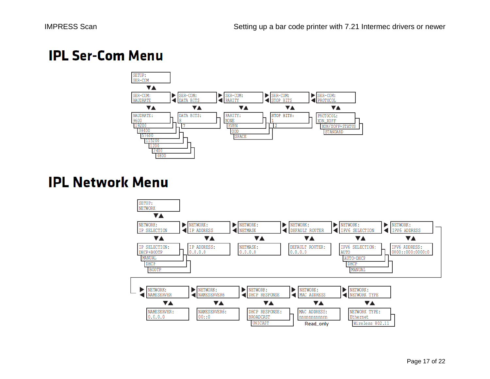### **IPL Ser-Com Menu**



### **IPL Network Menu**

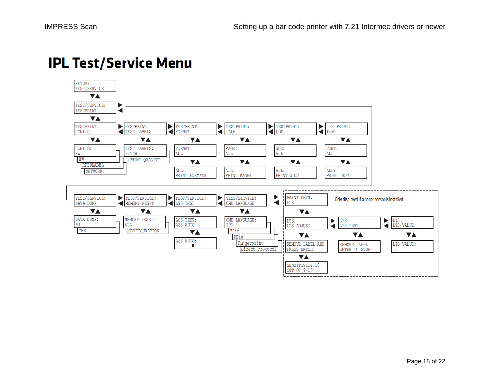### **IPL Test/Service Menu**

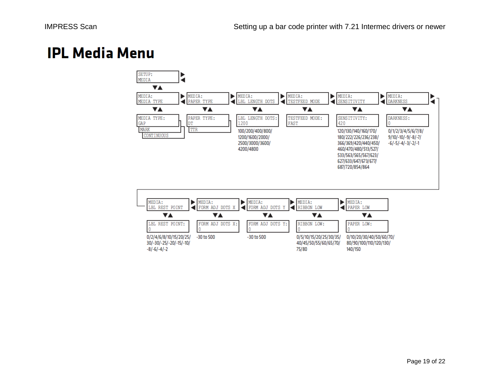## **IPL Media Menu**

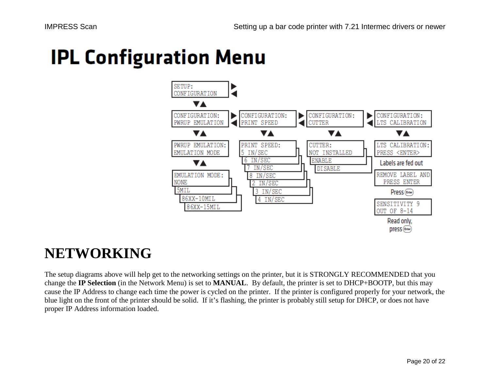# **IPL Configuration Menu**



### **NETWORKING**

The setup diagrams above will help get to the networking settings on the printer, but it is STRONGLY RECOMMENDED that you change the **IP Selection** (in the Network Menu) is set to **MANUAL**. By default, the printer is set to DHCP+BOOTP, but this may cause the IP Address to change each time the power is cycled on the printer. If the printer is configured properly for your network, the blue light on the front of the printer should be solid. If it's flashing, the printer is probably still setup for DHCP, or does not have proper IP Address information loaded.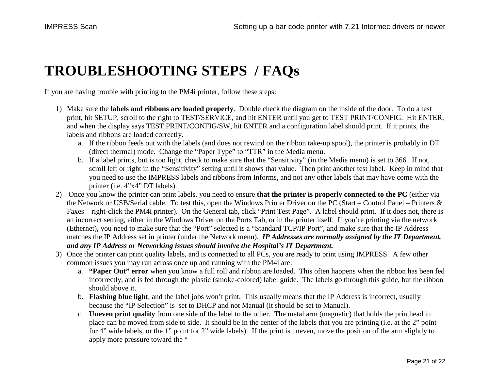## **TROUBLESHOOTING STEPS / FAQs**

If you are having trouble with printing to the PM4i printer, follow these steps:

- 1) Make sure the **labels and ribbons are loaded properly**. Double check the diagram on the inside of the door. To do a test print, hit SETUP, scroll to the right to TEST/SERVICE, and hit ENTER until you get to TEST PRINT/CONFIG. Hit ENTER, and when the display says TEST PRINT/CONFIG/SW, hit ENTER and a configuration label should print. If it prints, the labels and ribbons are loaded correctly.
	- a. If the ribbon feeds out with the labels (and does not rewind on the ribbon take-up spool), the printer is probably in DT (direct thermal) mode. Change the "Paper Type" to "TTR" in the Media menu.
	- b. If a label prints, but is too light, check to make sure that the "Sensitivity" (in the Media menu) is set to 366. If not, scroll left or right in the "Sensitivity" setting until it shows that value. Then print another test label. Keep in mind that you need to use the IMPRESS labels and ribbons from Informs, and not any other labels that may have come with the printer (i.e. 4"x4" DT labels).
- 2) Once you know the printer can print labels, you need to ensure **that the printer is properly connected to the PC** (either via the Network or USB/Serial cable. To test this, open the Windows Printer Driver on the PC (Start – Control Panel – Printers & Faxes – right-click the PM4i printer). On the General tab, click "Print Test Page". A label should print. If it does not, there is an incorrect setting, either in the Windows Driver on the Ports Tab, or in the printer itself. If you're printing via the network (Ethernet), you need to make sure that the "Port" selected is a "Standard TCP/IP Port", and make sure that the IP Address matches the IP Address set in printer (under the Network menu). *IP Addresses are normally assigned by the IT Department, and any IP Address or Networking issues should involve the Hospital's IT Department.*
- 3) Once the printer can print quality labels, and is connected to all PCs, you are ready to print using IMPRESS. A few other common issues you may run across once up and running with the PM4i are:
	- a. **"Paper Out" error** when you know a full roll and ribbon are loaded. This often happens when the ribbon has been fed incorrectly, and is fed through the plastic (smoke-colored) label guide. The labels go through this guide, but the ribbon should above it.
	- b. **Flashing blue light**, and the label jobs won't print. This usually means that the IP Address is incorrect, usually because the "IP Selection" is set to DHCP and not Manual (it should be set to Manual).
	- c. **Uneven print quality** from one side of the label to the other. The metal arm (magnetic) that holds the printhead in place can be moved from side to side. It should be in the center of the labels that you are printing (i.e. at the 2" point for 4" wide labels, or the 1" point for 2" wide labels). If the print is uneven, move the position of the arm slightly to apply more pressure toward the "